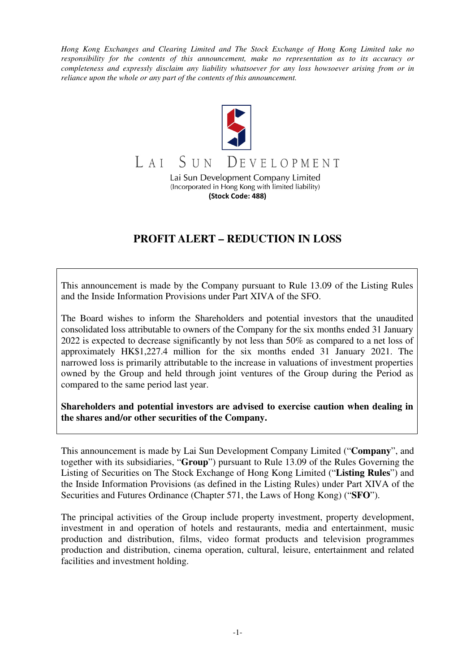*Hong Kong Exchanges and Clearing Limited and The Stock Exchange of Hong Kong Limited take no responsibility for the contents of this announcement, make no representation as to its accuracy or completeness and expressly disclaim any liability whatsoever for any loss howsoever arising from or in reliance upon the whole or any part of the contents of this announcement.* 



## **PROFIT ALERT – REDUCTION IN LOSS**

This announcement is made by the Company pursuant to Rule 13.09 of the Listing Rules and the Inside Information Provisions under Part XIVA of the SFO.

The Board wishes to inform the Shareholders and potential investors that the unaudited consolidated loss attributable to owners of the Company for the six months ended 31 January 2022 is expected to decrease significantly by not less than 50% as compared to a net loss of approximately HK\$1,227.4 million for the six months ended 31 January 2021. The narrowed loss is primarily attributable to the increase in valuations of investment properties owned by the Group and held through joint ventures of the Group during the Period as compared to the same period last year.

**Shareholders and potential investors are advised to exercise caution when dealing in the shares and/or other securities of the Company.** 

This announcement is made by Lai Sun Development Company Limited ("**Company**", and together with its subsidiaries, "**Group**") pursuant to Rule 13.09 of the Rules Governing the Listing of Securities on The Stock Exchange of Hong Kong Limited ("**Listing Rules**") and the Inside Information Provisions (as defined in the Listing Rules) under Part XIVA of the Securities and Futures Ordinance (Chapter 571, the Laws of Hong Kong) ("**SFO**").

The principal activities of the Group include property investment, property development, investment in and operation of hotels and restaurants, media and entertainment, music production and distribution, films, video format products and television programmes production and distribution, cinema operation, cultural, leisure, entertainment and related facilities and investment holding.